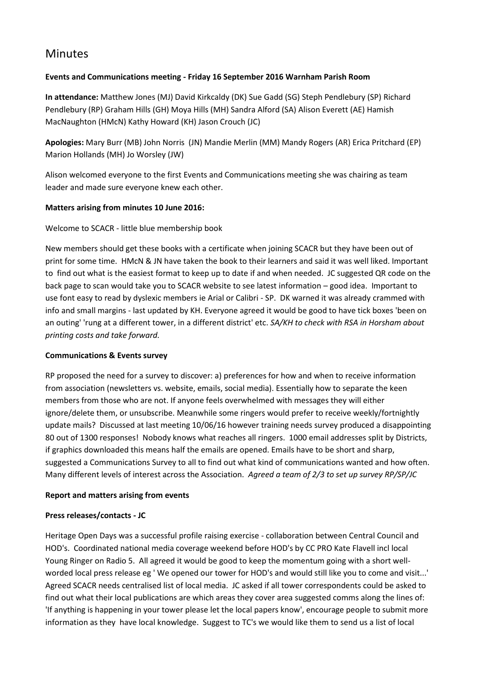# Minutes

# **Events and Communications meeting - Friday 16 September 2016 Warnham Parish Room**

**In attendance:** Matthew Jones (MJ) David Kirkcaldy (DK) Sue Gadd (SG) Steph Pendlebury (SP) Richard Pendlebury (RP) Graham Hills (GH) Moya Hills (MH) Sandra Alford (SA) Alison Everett (AE) Hamish MacNaughton (HMcN) Kathy Howard (KH) Jason Crouch (JC)

**Apologies:** Mary Burr (MB) John Norris (JN) Mandie Merlin (MM) Mandy Rogers (AR) Erica Pritchard (EP) Marion Hollands (MH) Jo Worsley (JW)

Alison welcomed everyone to the first Events and Communications meeting she was chairing as team leader and made sure everyone knew each other.

## **Matters arising from minutes 10 June 2016:**

# Welcome to SCACR - little blue membership book

New members should get these books with a certificate when joining SCACR but they have been out of print for some time. HMcN & JN have taken the book to their learners and said it was well liked. Important to find out what is the easiest format to keep up to date if and when needed. JC suggested QR code on the back page to scan would take you to SCACR website to see latest information – good idea. Important to use font easy to read by dyslexic members ie Arial or Calibri - SP. DK warned it was already crammed with info and small margins - last updated by KH. Everyone agreed it would be good to have tick boxes 'been on an outing' 'rung at a different tower, in a different district' etc. *SA/KH to check with RSA in Horsham about printing costs and take forward.*

## **Communications & Events survey**

RP proposed the need for a survey to discover: a) preferences for how and when to receive information from association (newsletters vs. website, emails, social media). Essentially how to separate the keen members from those who are not. If anyone feels overwhelmed with messages they will either ignore/delete them, or unsubscribe. Meanwhile some ringers would prefer to receive weekly/fortnightly update mails? Discussed at last meeting 10/06/16 however training needs survey produced a disappointing 80 out of 1300 responses! Nobody knows what reaches all ringers. 1000 email addresses split by Districts, if graphics downloaded this means half the emails are opened. Emails have to be short and sharp, suggested a Communications Survey to all to find out what kind of communications wanted and how often. Many different levels of interest across the Association. *Agreed a team of 2/3 to set up survey RP/SP/JC*

## **Report and matters arising from events**

## **Press releases/contacts - JC**

Heritage Open Days was a successful profile raising exercise - collaboration between Central Council and HOD's. Coordinated national media coverage weekend before HOD's by CC PRO Kate Flavell incl local Young Ringer on Radio 5. All agreed it would be good to keep the momentum going with a short wellworded local press release eg ' We opened our tower for HOD's and would still like you to come and visit...' Agreed SCACR needs centralised list of local media. JC asked if all tower correspondents could be asked to find out what their local publications are which areas they cover area suggested comms along the lines of: 'If anything is happening in your tower please let the local papers know', encourage people to submit more information as they have local knowledge. Suggest to TC's we would like them to send us a list of local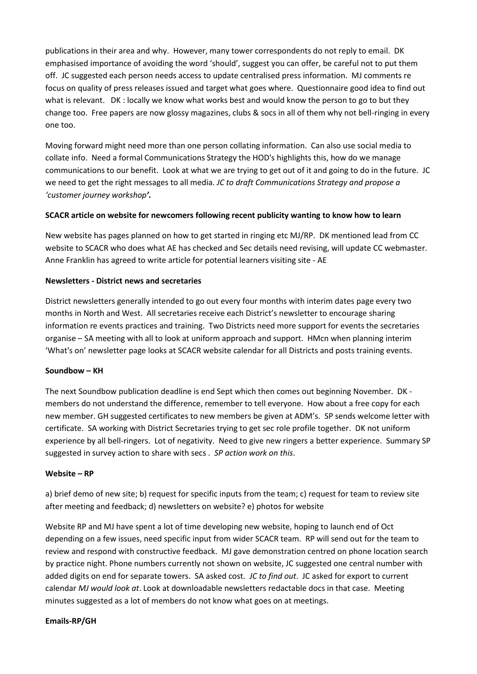publications in their area and why. However, many tower correspondents do not reply to email. DK emphasised importance of avoiding the word 'should', suggest you can offer, be careful not to put them off. JC suggested each person needs access to update centralised press information. MJ comments re focus on quality of press releases issued and target what goes where. Questionnaire good idea to find out what is relevant. DK : locally we know what works best and would know the person to go to but they change too. Free papers are now glossy magazines, clubs & socs in all of them why not bell-ringing in every one too.

Moving forward might need more than one person collating information. Can also use social media to collate info. Need a formal Communications Strategy the HOD's highlights this, how do we manage communications to our benefit. Look at what we are trying to get out of it and going to do in the future. JC we need to get the right messages to all media. *JC to draft Communications Strategy and propose a 'customer journey workshop'.*

### **SCACR article on website for newcomers following recent publicity wanting to know how to learn**

New website has pages planned on how to get started in ringing etc MJ/RP. DK mentioned lead from CC website to SCACR who does what AE has checked and Sec details need revising, will update CC webmaster. Anne Franklin has agreed to write article for potential learners visiting site - AE

### **Newsletters - District news and secretaries**

District newsletters generally intended to go out every four months with interim dates page every two months in North and West. All secretaries receive each District's newsletter to encourage sharing information re events practices and training. Two Districts need more support for events the secretaries organise – SA meeting with all to look at uniform approach and support. HMcn when planning interim 'What's on' newsletter page looks at SCACR website calendar for all Districts and posts training events.

#### **Soundbow – KH**

The next Soundbow publication deadline is end Sept which then comes out beginning November. DK members do not understand the difference, remember to tell everyone. How about a free copy for each new member. GH suggested certificates to new members be given at ADM's. SP sends welcome letter with certificate. SA working with District Secretaries trying to get sec role profile together. DK not uniform experience by all bell-ringers. Lot of negativity. Need to give new ringers a better experience. Summary SP suggested in survey action to share with secs . *SP action work on this*.

#### **Website – RP**

a) brief demo of new site; b) request for specific inputs from the team; c) request for team to review site after meeting and feedback; d) newsletters on website? e) photos for website

Website RP and MJ have spent a lot of time developing new website, hoping to launch end of Oct depending on a few issues, need specific input from wider SCACR team. RP will send out for the team to review and respond with constructive feedback. MJ gave demonstration centred on phone location search by practice night. Phone numbers currently not shown on website, JC suggested one central number with added digits on end for separate towers. SA asked cost. *JC to find out*. JC asked for export to current calendar *MJ would look at*. Look at downloadable newsletters redactable docs in that case. Meeting minutes suggested as a lot of members do not know what goes on at meetings.

#### **Emails-RP/GH**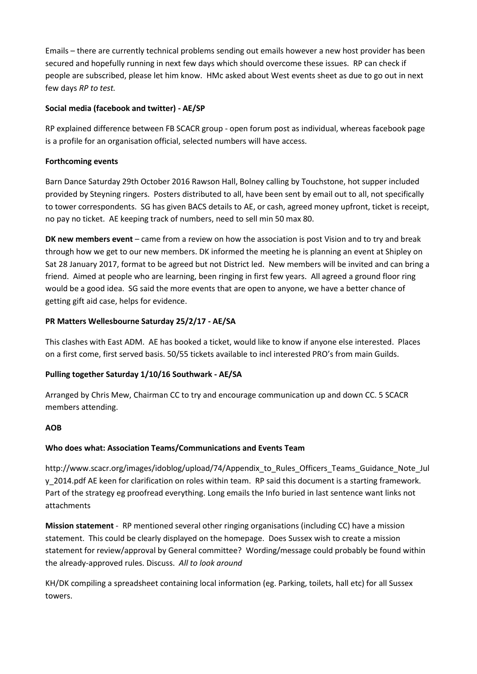Emails – there are currently technical problems sending out emails however a new host provider has been secured and hopefully running in next few days which should overcome these issues. RP can check if people are subscribed, please let him know. HMc asked about West events sheet as due to go out in next few days *RP to test.*

# **Social media (facebook and twitter) - AE/SP**

RP explained difference between FB SCACR group - open forum post as individual, whereas facebook page is a profile for an organisation official, selected numbers will have access.

# **Forthcoming events**

Barn Dance Saturday 29th October 2016 Rawson Hall, Bolney calling by Touchstone, hot supper included provided by Steyning ringers. Posters distributed to all, have been sent by email out to all, not specifically to tower correspondents. SG has given BACS details to AE, or cash, agreed money upfront, ticket is receipt, no pay no ticket. AE keeping track of numbers, need to sell min 50 max 80.

**DK new members event** – came from a review on how the association is post Vision and to try and break through how we get to our new members. DK informed the meeting he is planning an event at Shipley on Sat 28 January 2017, format to be agreed but not District led. New members will be invited and can bring a friend. Aimed at people who are learning, been ringing in first few years. All agreed a ground floor ring would be a good idea. SG said the more events that are open to anyone, we have a better chance of getting gift aid case, helps for evidence.

# **PR Matters Wellesbourne Saturday 25/2/17 - AE/SA**

This clashes with East ADM. AE has booked a ticket, would like to know if anyone else interested. Places on a first come, first served basis. 50/55 tickets available to incl interested PRO's from main Guilds.

## **Pulling together Saturday 1/10/16 Southwark - AE/SA**

Arranged by Chris Mew, Chairman CC to try and encourage communication up and down CC. 5 SCACR members attending.

## **AOB**

# **Who does what: Association Teams/Communications and Events Team**

http://www.scacr.org/images/idoblog/upload/74/Appendix to Rules Officers Teams Guidance Note Jul [y\\_2014.pdf](http://www.scacr.org/images/idoblog/upload/74/Appendix_to_Rules_Officers_Teams_Guidance_Note_July_2014.pdf) AE keen for clarification on roles within team. RP said this document is a starting framework. Part of the strategy eg proofread everything. Long emails the Info buried in last sentence want links not attachments

**Mission statement** - RP mentioned several other ringing organisations (including CC) have a mission statement. This could be clearly displayed on the homepage. Does Sussex wish to create a mission statement for review/approval by General committee? Wording/message could probably be found within the already-approved rules. Discuss. *All to look around*

KH/DK compiling a spreadsheet containing local information (eg. Parking, toilets, hall etc) for all Sussex towers.